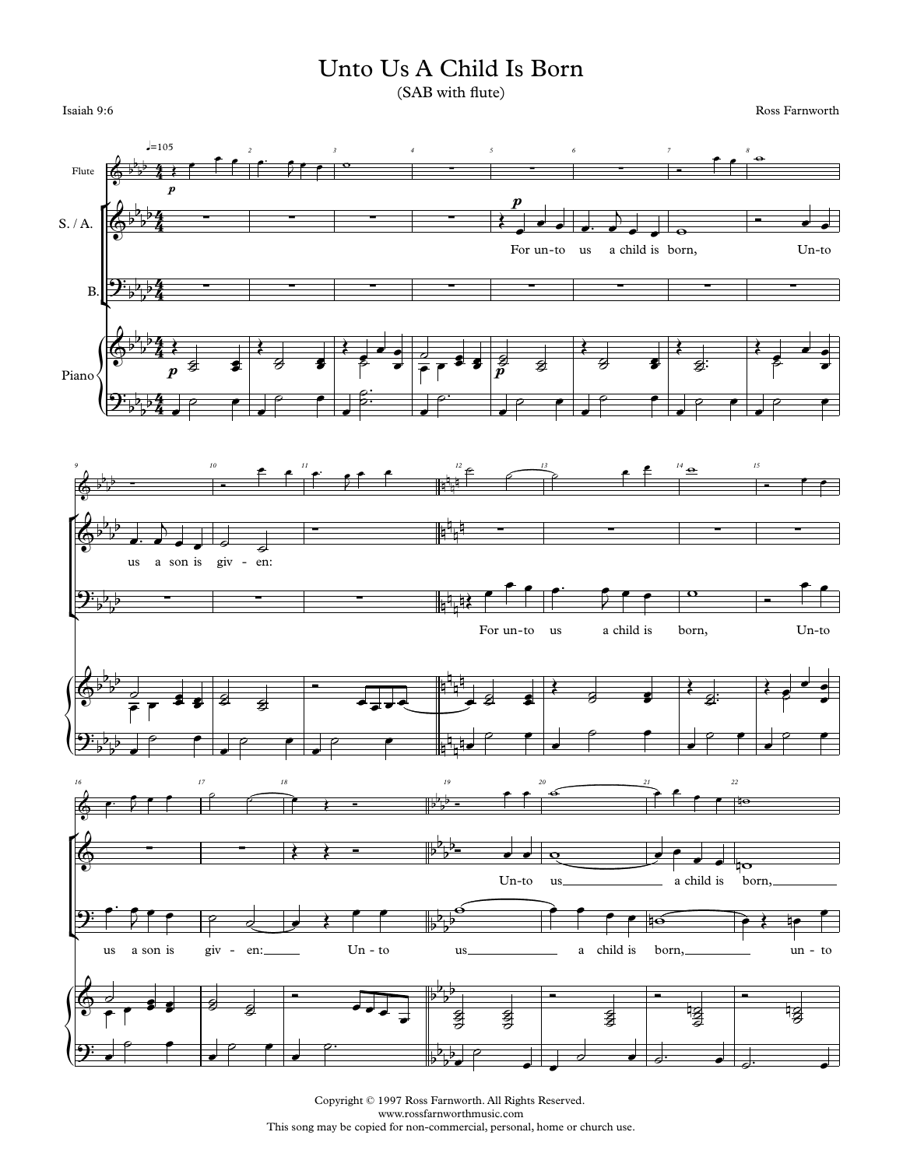## Unto Us A Child Is Born

(SAB with flute)

Isaiah 9:6 Ross Farnworth



Copyright © 1997 Ross Farnworth. All Rights Reserved. www.rossfarnworthmusic.com This song may be copied for non-commercial, personal, home or church use.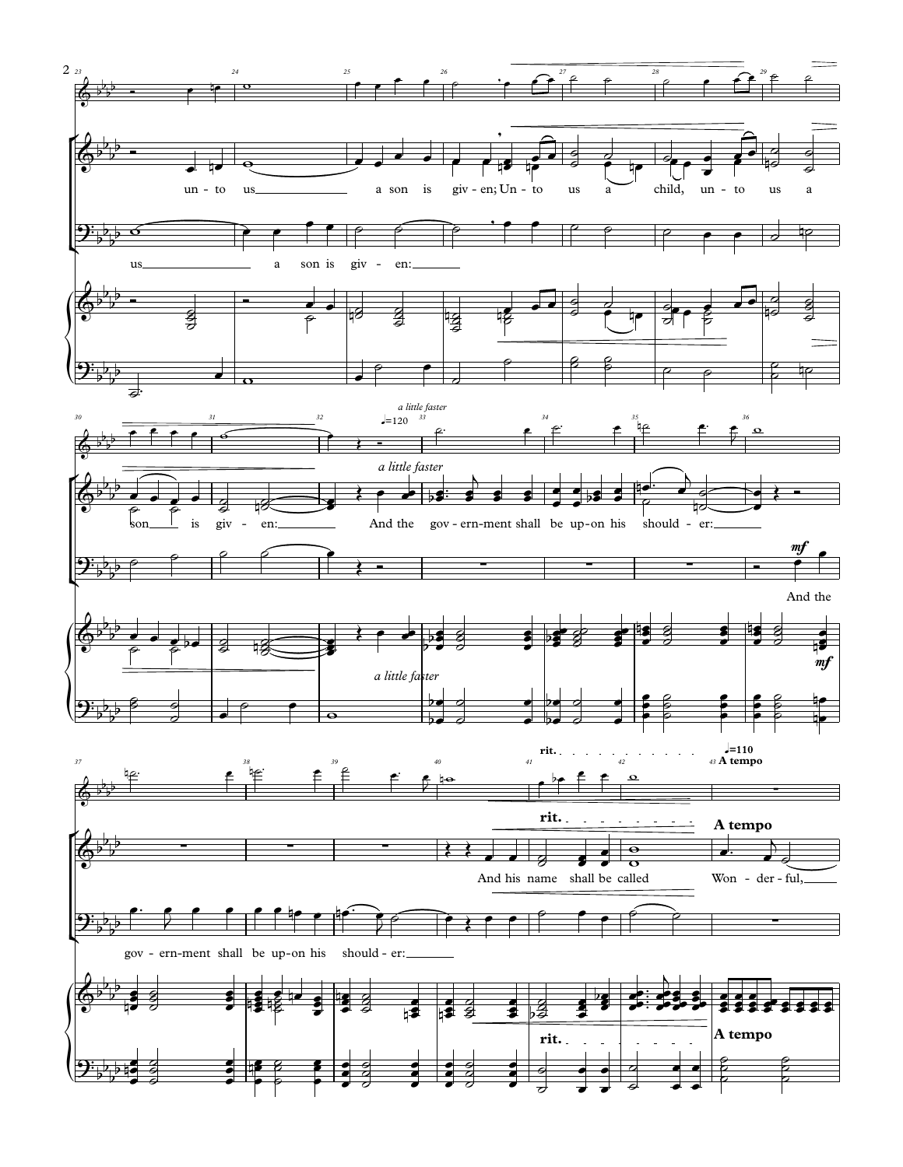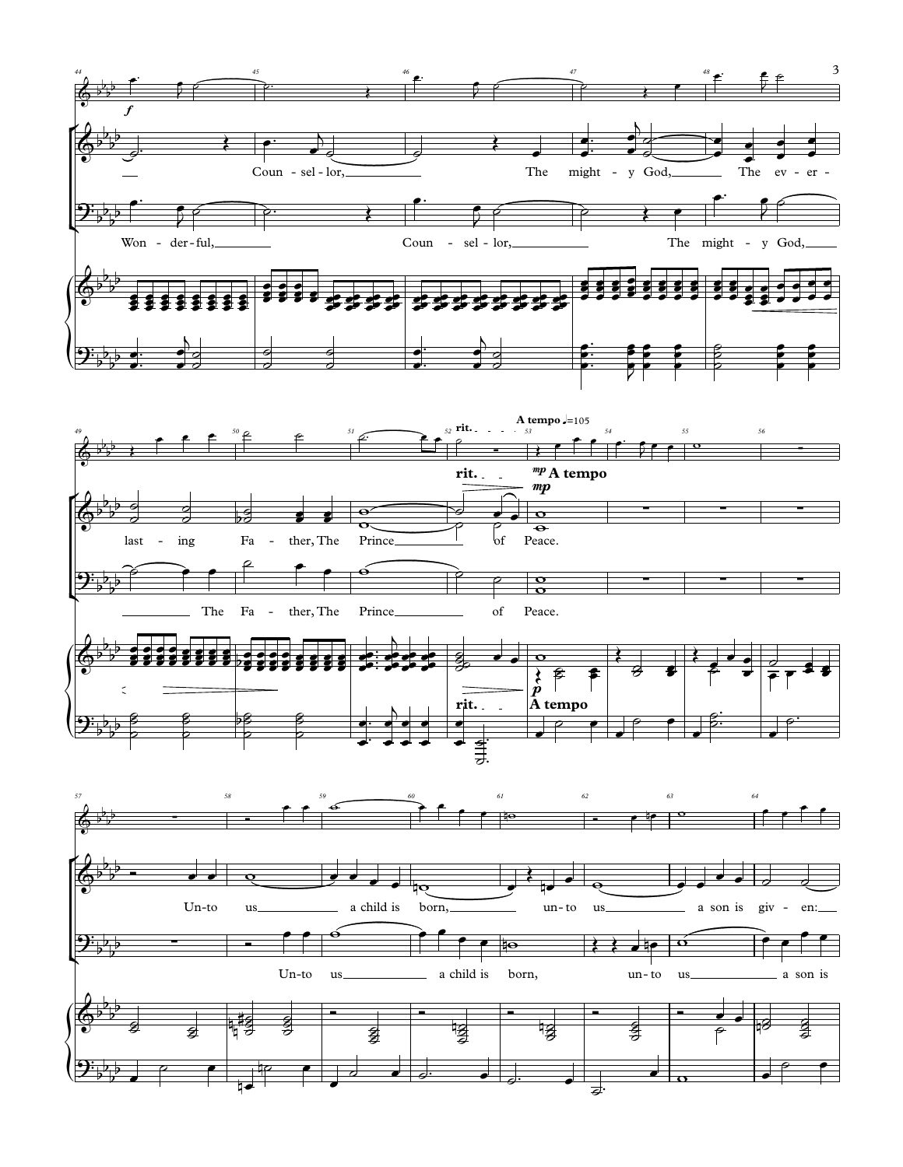



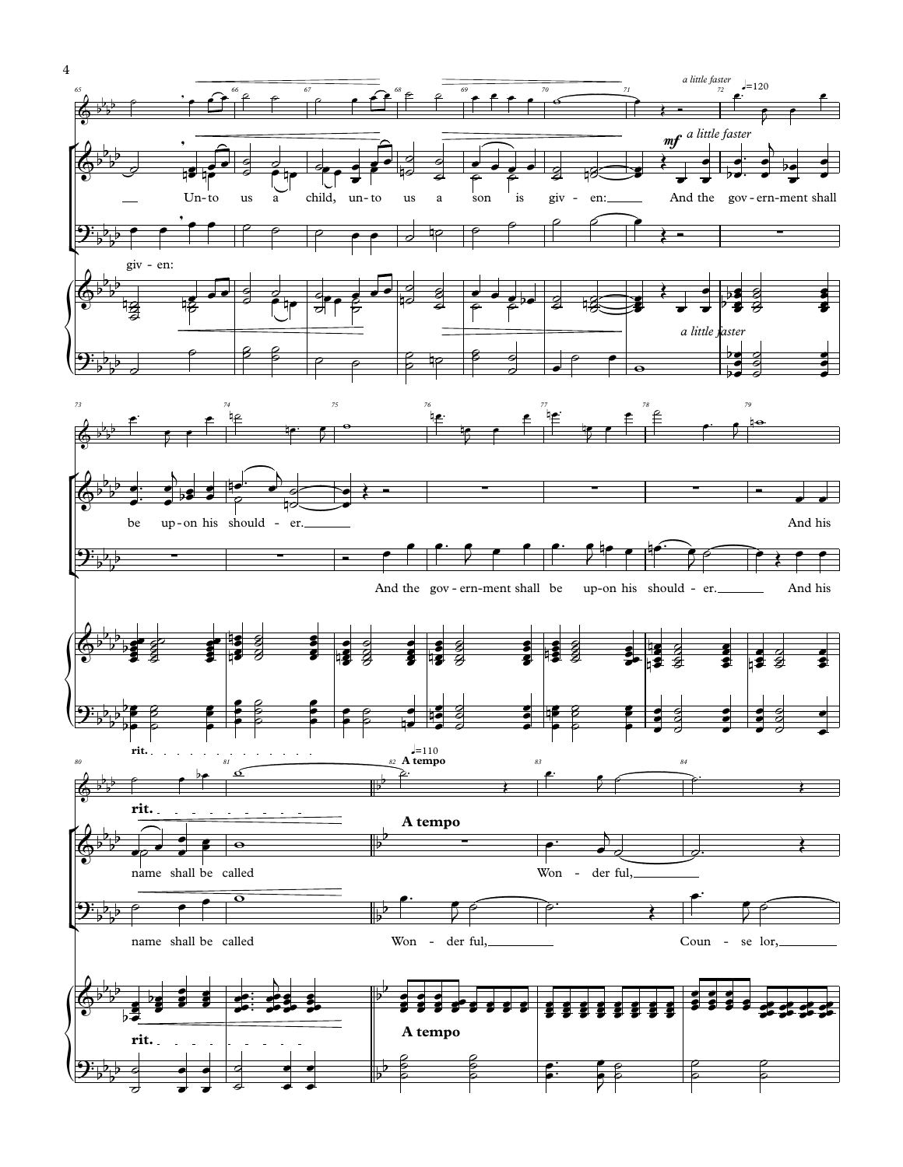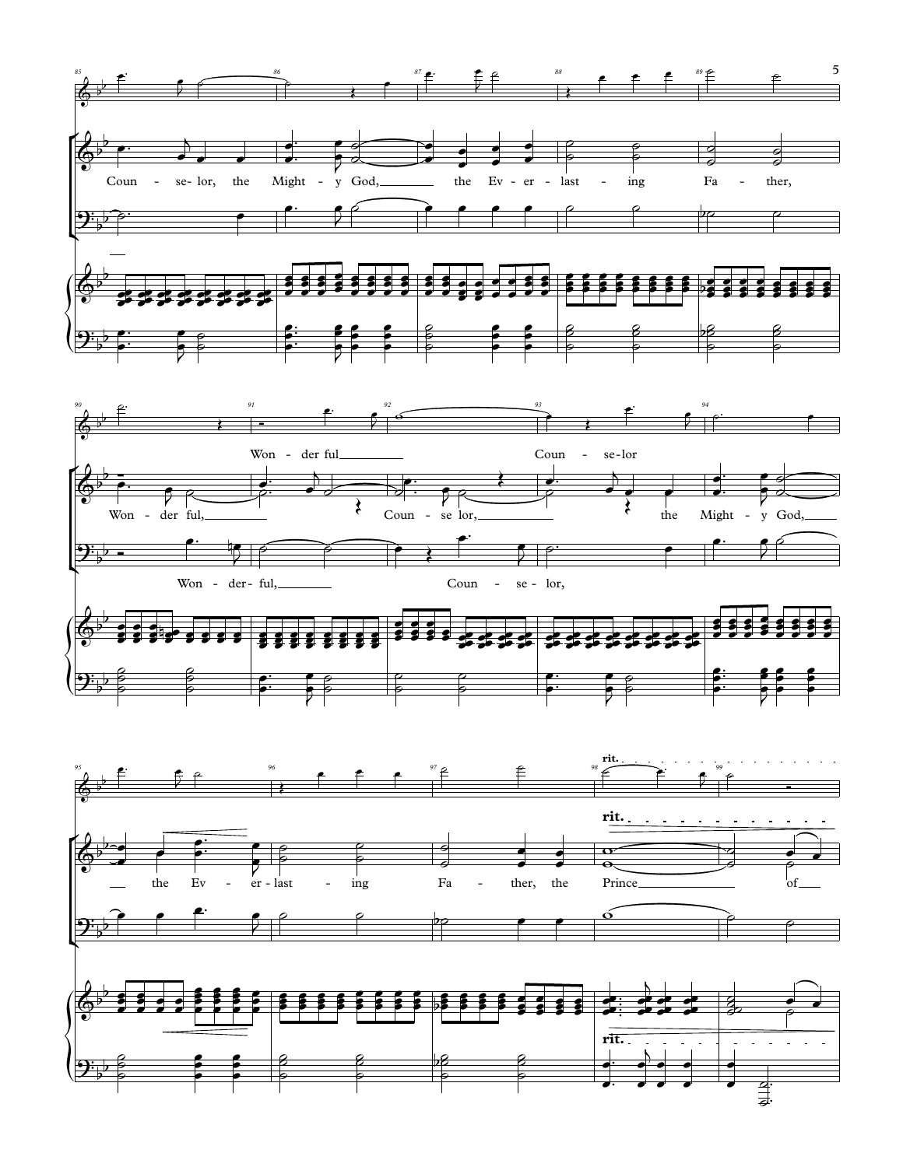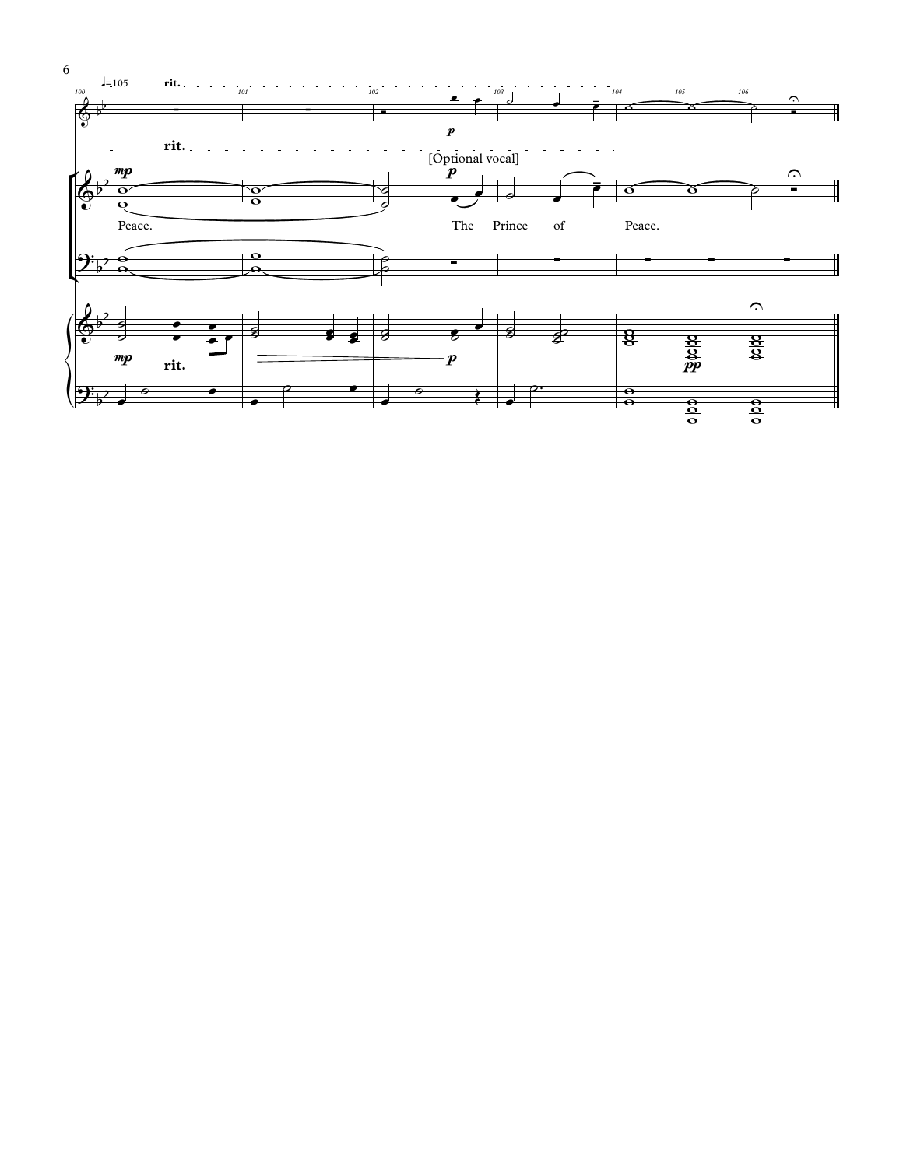